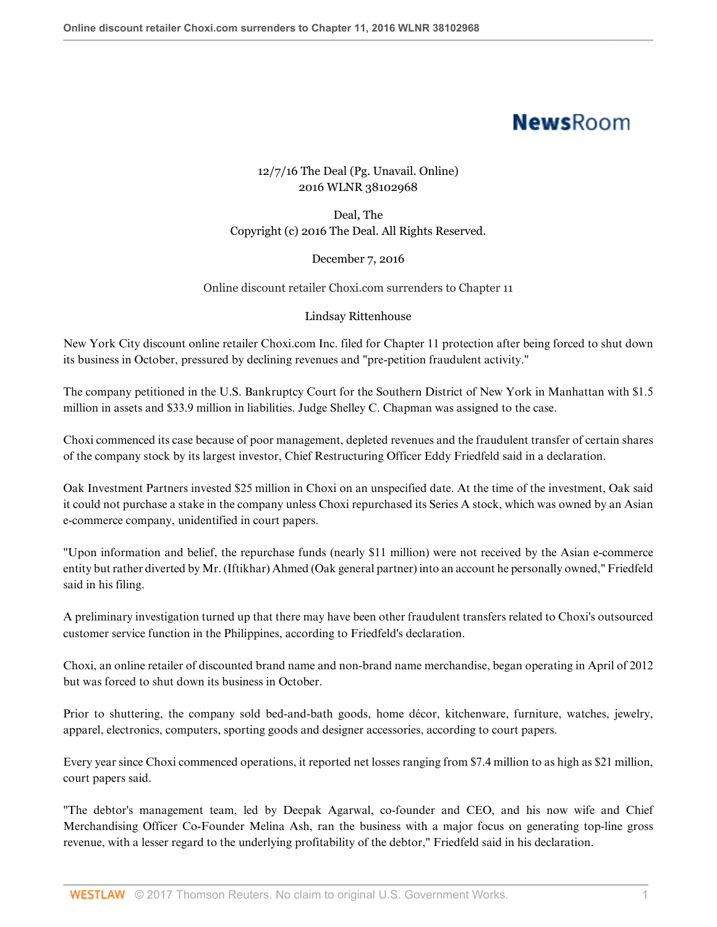# **NewsRoom**

## 12/7/16 The Deal (Pg. Unavail. Online) 2016 WLNR 38102968

Deal, The Copyright (c) 2016 The Deal. All Rights Reserved.

### December 7, 2016

#### Online discount retailer Choxi.com surrenders to Chapter 11

#### Lindsay Rittenhouse

New York City discount online retailer Choxi.com Inc. filed for Chapter 11 protection after being forced to shut down its business in October, pressured by declining revenues and "pre-petition fraudulent activity."

The company petitioned in the U.S. Bankruptcy Court for the Southern District of New York in Manhattan with \$1.5 million in assets and \$33.9 million in liabilities. Judge Shelley C. Chapman was assigned to the case.

Choxi commenced its case because of poor management, depleted revenues and the fraudulent transfer of certain shares of the company stock by its largest investor, Chief Restructuring Officer Eddy Friedfeld said in a declaration.

Oak Investment Partners invested \$25 million in Choxi on an unspecified date. At the time of the investment, Oak said it could not purchase a stake in the company unless Choxi repurchased its Series A stock, which was owned by an Asian e-commerce company, unidentified in court papers.

"Upon information and belief, the repurchase funds (nearly \$11 million) were not received by the Asian e-commerce entity but rather diverted by Mr. (Iftikhar) Ahmed (Oak general partner) into an account he personally owned," Friedfeld said in his filing.

A preliminary investigation turned up that there may have been other fraudulent transfers related to Choxi's outsourced customer service function in the Philippines, according to Friedfeld's declaration.

Choxi, an online retailer of discounted brand name and non-brand name merchandise, began operating in April of 2012 but was forced to shut down its business in October.

Prior to shuttering, the company sold bed-and-bath goods, home décor, kitchenware, furniture, watches, jewelry, apparel, electronics, computers, sporting goods and designer accessories, according to court papers.

Every year since Choxi commenced operations, it reported net losses ranging from \$7.4 million to as high as \$21 million, court papers said.

"The debtor's management team, led by Deepak Agarwal, co-founder and CEO, and his now wife and Chief Merchandising Officer Co-Founder Melina Ash, ran the business with a major focus on generating top-line gross revenue, with a lesser regard to the underlying profitability of the debtor," Friedfeld said in his declaration.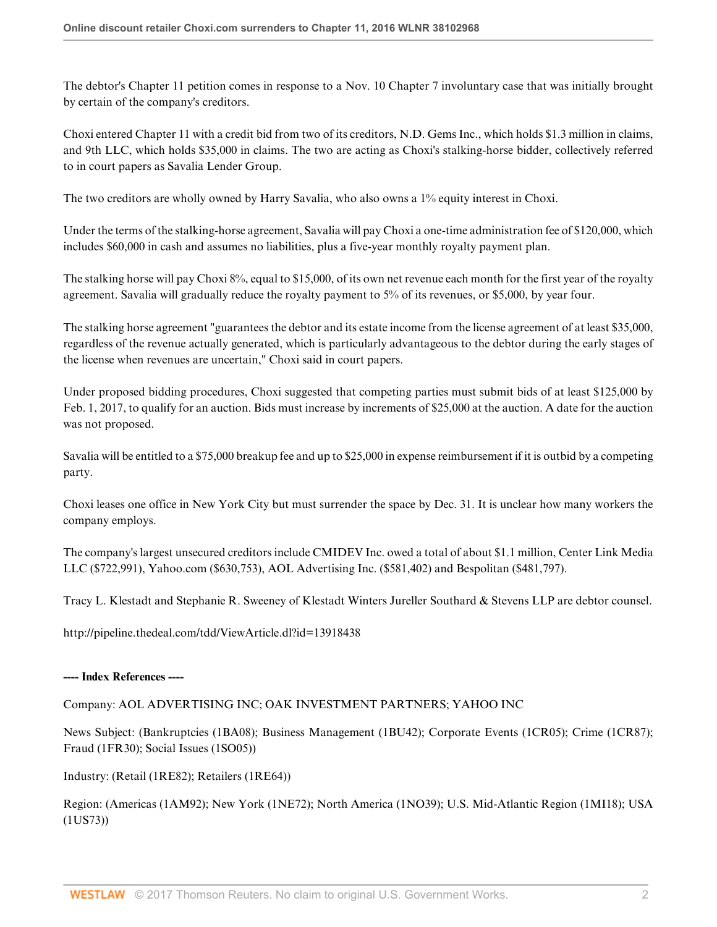The debtor's Chapter 11 petition comes in response to a Nov. 10 Chapter 7 involuntary case that was initially brought by certain of the company's creditors.

Choxi entered Chapter 11 with a credit bid from two of its creditors, N.D. Gems Inc., which holds \$1.3 million in claims, and 9th LLC, which holds \$35,000 in claims. The two are acting as Choxi's stalking-horse bidder, collectively referred to in court papers as Savalia Lender Group.

The two creditors are wholly owned by Harry Savalia, who also owns a 1% equity interest in Choxi.

Under the terms of the stalking-horse agreement, Savalia will pay Choxi a one-time administration fee of \$120,000, which includes \$60,000 in cash and assumes no liabilities, plus a five-year monthly royalty payment plan.

The stalking horse will pay Choxi 8%, equal to \$15,000, of its own net revenue each month for the first year of the royalty agreement. Savalia will gradually reduce the royalty payment to 5% of its revenues, or \$5,000, by year four.

The stalking horse agreement "guarantees the debtor and its estate income from the license agreement of at least \$35,000, regardless of the revenue actually generated, which is particularly advantageous to the debtor during the early stages of the license when revenues are uncertain," Choxi said in court papers.

Under proposed bidding procedures, Choxi suggested that competing parties must submit bids of at least \$125,000 by Feb. 1, 2017, to qualify for an auction. Bids must increase by increments of \$25,000 at the auction. A date for the auction was not proposed.

Savalia will be entitled to a \$75,000 breakup fee and up to \$25,000 in expense reimbursement if it is outbid by a competing party.

Choxi leases one office in New York City but must surrender the space by Dec. 31. It is unclear how many workers the company employs.

The company's largest unsecured creditors include CMIDEV Inc. owed a total of about \$1.1 million, Center Link Media LLC (\$722,991), Yahoo.com (\$630,753), AOL Advertising Inc. (\$581,402) and Bespolitan (\$481,797).

Tracy L. Klestadt and Stephanie R. Sweeney of Klestadt Winters Jureller Southard & Stevens LLP are debtor counsel.

http://pipeline.thedeal.com/tdd/ViewArticle.dl?id=13918438

#### **---- Index References ----**

Company: AOL ADVERTISING INC; OAK INVESTMENT PARTNERS; YAHOO INC

News Subject: (Bankruptcies (1BA08); Business Management (1BU42); Corporate Events (1CR05); Crime (1CR87); Fraud (1FR30); Social Issues (1SO05))

Industry: (Retail (1RE82); Retailers (1RE64))

Region: (Americas (1AM92); New York (1NE72); North America (1NO39); U.S. Mid-Atlantic Region (1MI18); USA (1US73))